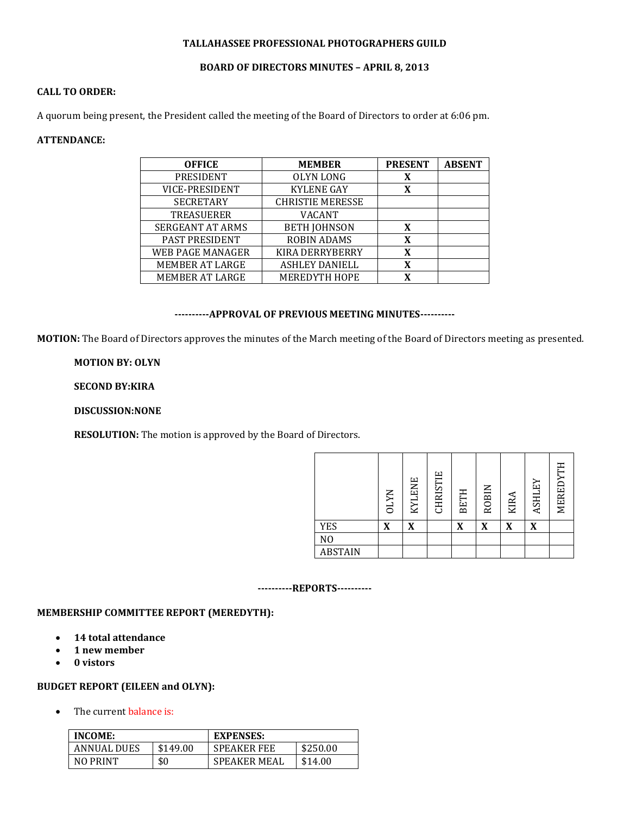### **TALLAHASSEE PROFESSIONAL PHOTOGRAPHERS GUILD**

## **BOARD OF DIRECTORS MINUTES – APRIL 8, 2013**

# **CALL TO ORDER:**

A quorum being present, the President called the meeting of the Board of Directors to order at 6:06 pm.

## **ATTENDANCE:**

| <b>OFFICE</b>           | <b>MEMBER</b>           | <b>PRESENT</b> | <b>ABSENT</b> |
|-------------------------|-------------------------|----------------|---------------|
| PRESIDENT               | OLYN LONG               |                |               |
| VICE-PRESIDENT          | <b>KYLENE GAY</b>       | X              |               |
| <b>SECRETARY</b>        | <b>CHRISTIE MERESSE</b> |                |               |
| <b>TREASUERER</b>       | <b>VACANT</b>           |                |               |
| <b>SERGEANT AT ARMS</b> | <b>BETH JOHNSON</b>     | X              |               |
| <b>PAST PRESIDENT</b>   | <b>ROBIN ADAMS</b>      | X              |               |
| <b>WEB PAGE MANAGER</b> | <b>KIRA DERRYBERRY</b>  |                |               |
| MEMBER AT LARGE         | <b>ASHLEY DANIELL</b>   | X              |               |
| MEMBER AT LARGE         | <b>MEREDYTH HOPE</b>    | X              |               |

## **----------APPROVAL OF PREVIOUS MEETING MINUTES----------**

**MOTION:** The Board of Directors approves the minutes of the March meeting of the Board of Directors meeting as presented.

# **MOTION BY: OLYN**

## **SECOND BY:KIRA**

## **DISCUSSION:NONE**

**RESOLUTION:** The motion is approved by the Board of Directors.

|                | <b>OLYN</b> | <b>KYLENE</b> | <b>CHRISTIE</b> | <b>BETH</b> | <b>ROBIN</b> | KIRA | ASHLEY | MEREDYTH |
|----------------|-------------|---------------|-----------------|-------------|--------------|------|--------|----------|
| <b>YES</b>     | X           | X             |                 | X           | X            | X    | X      |          |
| N <sub>0</sub> |             |               |                 |             |              |      |        |          |
| <b>ABSTAIN</b> |             |               |                 |             |              |      |        |          |

#### **----------REPORTS----------**

### **MEMBERSHIP COMMITTEE REPORT (MEREDYTH):**

- **14 total attendance**
- **1 new member**
- **0 vistors**

### **BUDGET REPORT (EILEEN and OLYN):**

• The current balance is:

| <b>INCOME:</b>     |          | <b>EXPENSES:</b>    |          |  |  |
|--------------------|----------|---------------------|----------|--|--|
| <b>ANNUAL DUES</b> | \$149.00 | <b>SPEAKER FEE</b>  | \$250.00 |  |  |
| NO PRINT           | \$0      | <b>SPEAKER MEAL</b> | \$14.00  |  |  |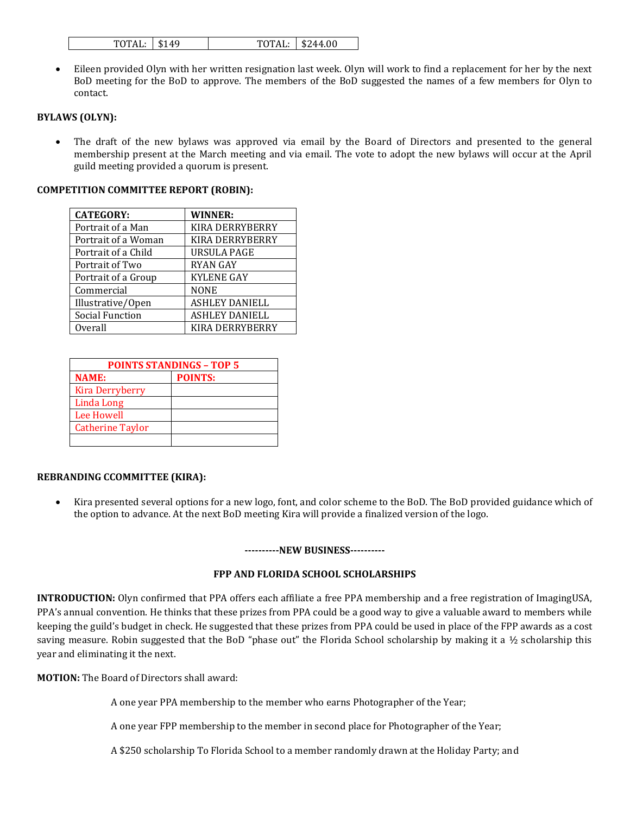| TOTAL: \\$244.00<br>$TOTAL:$ \$149 |  |
|------------------------------------|--|
|------------------------------------|--|

 Eileen provided Olyn with her written resignation last week. Olyn will work to find a replacement for her by the next BoD meeting for the BoD to approve. The members of the BoD suggested the names of a few members for Olyn to contact.

## **BYLAWS (OLYN):**

 The draft of the new bylaws was approved via email by the Board of Directors and presented to the general membership present at the March meeting and via email. The vote to adopt the new bylaws will occur at the April guild meeting provided a quorum is present.

#### **COMPETITION COMMITTEE REPORT (ROBIN):**

| <b>CATEGORY:</b>       | <b>WINNER:</b>         |
|------------------------|------------------------|
| Portrait of a Man      | <b>KIRA DERRYBERRY</b> |
| Portrait of a Woman    | <b>KIRA DERRYBERRY</b> |
| Portrait of a Child    | <b>URSULA PAGE</b>     |
| Portrait of Two        | <b>RYAN GAY</b>        |
| Portrait of a Group    | <b>KYLENE GAY</b>      |
| Commercial             | <b>NONE</b>            |
| Illustrative/Open      | <b>ASHLEY DANIELL</b>  |
| <b>Social Function</b> | <b>ASHLEY DANIELL</b>  |
| Overall                | KIRA DERRYBERRY        |

| <b>POINTS STANDINGS - TOP 5</b> |                |  |  |  |  |  |
|---------------------------------|----------------|--|--|--|--|--|
| <b>NAME:</b>                    | <b>POINTS:</b> |  |  |  |  |  |
| <b>Kira Derryberry</b>          |                |  |  |  |  |  |
| Linda Long                      |                |  |  |  |  |  |
| Lee Howell                      |                |  |  |  |  |  |
| <b>Catherine Taylor</b>         |                |  |  |  |  |  |
|                                 |                |  |  |  |  |  |

#### **REBRANDING CCOMMITTEE (KIRA):**

 Kira presented several options for a new logo, font, and color scheme to the BoD. The BoD provided guidance which of the option to advance. At the next BoD meeting Kira will provide a finalized version of the logo.

#### **----------NEW BUSINESS----------**

## **FPP AND FLORIDA SCHOOL SCHOLARSHIPS**

**INTRODUCTION:** Olyn confirmed that PPA offers each affiliate a free PPA membership and a free registration of ImagingUSA, PPA's annual convention. He thinks that these prizes from PPA could be a good way to give a valuable award to members while keeping the guild's budget in check. He suggested that these prizes from PPA could be used in place of the FPP awards as a cost saving measure. Robin suggested that the BoD "phase out" the Florida School scholarship by making it a ½ scholarship this year and eliminating it the next.

**MOTION:** The Board of Directors shall award:

A one year PPA membership to the member who earns Photographer of the Year;

A one year FPP membership to the member in second place for Photographer of the Year;

A \$250 scholarship To Florida School to a member randomly drawn at the Holiday Party; and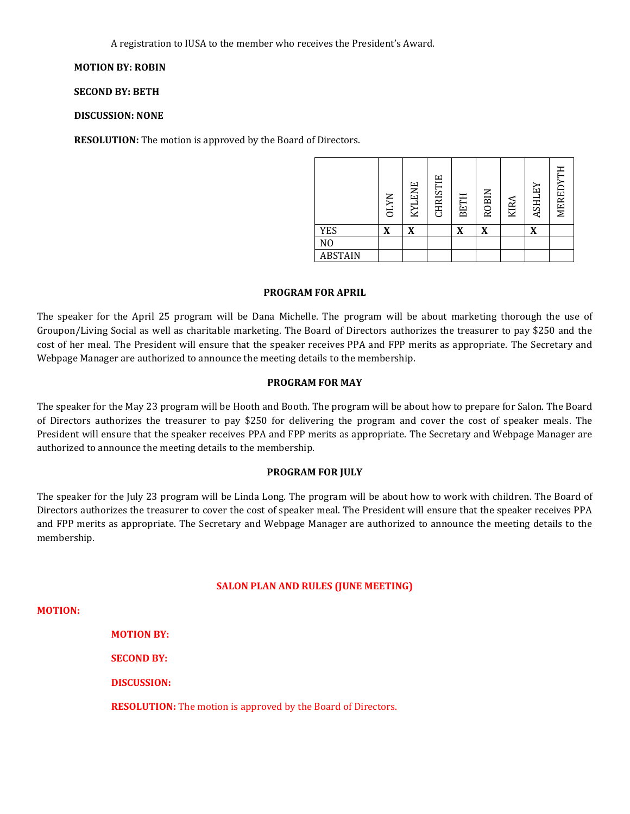A registration to IUSA to the member who receives the President's Award.

# **MOTION BY: ROBIN**

**SECOND BY: BETH**

### **DISCUSSION: NONE**

**RESOLUTION:** The motion is approved by the Board of Directors.

|                | <b>OLYN</b> | <b>KYLENE</b> | CHRISTIE | <b>BETH</b> | <b>ROBIN</b> | <b>KIRA</b> | ASHLEY | MEREDYTH |
|----------------|-------------|---------------|----------|-------------|--------------|-------------|--------|----------|
| <b>YES</b>     | X           | X             |          | X           | X            |             | X      |          |
| N <sub>O</sub> |             |               |          |             |              |             |        |          |
| <b>ABSTAIN</b> |             |               |          |             |              |             |        |          |

#### **PROGRAM FOR APRIL**

The speaker for the April 25 program will be Dana Michelle. The program will be about marketing thorough the use of Groupon/Living Social as well as charitable marketing. The Board of Directors authorizes the treasurer to pay \$250 and the cost of her meal. The President will ensure that the speaker receives PPA and FPP merits as appropriate. The Secretary and Webpage Manager are authorized to announce the meeting details to the membership.

#### **PROGRAM FOR MAY**

The speaker for the May 23 program will be Hooth and Booth. The program will be about how to prepare for Salon. The Board of Directors authorizes the treasurer to pay \$250 for delivering the program and cover the cost of speaker meals. The President will ensure that the speaker receives PPA and FPP merits as appropriate. The Secretary and Webpage Manager are authorized to announce the meeting details to the membership.

#### **PROGRAM FOR JULY**

The speaker for the July 23 program will be Linda Long. The program will be about how to work with children. The Board of Directors authorizes the treasurer to cover the cost of speaker meal. The President will ensure that the speaker receives PPA and FPP merits as appropriate. The Secretary and Webpage Manager are authorized to announce the meeting details to the membership.

#### **SALON PLAN AND RULES (JUNE MEETING)**

**MOTION:**

**MOTION BY:** 

**SECOND BY:**

**DISCUSSION:**

**RESOLUTION:** The motion is approved by the Board of Directors.